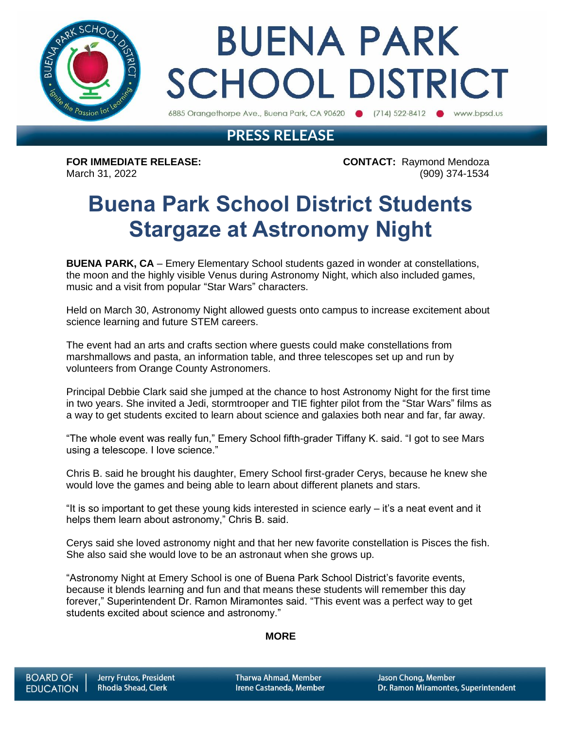

# **BUENA PARK SCHOOL DISTRICT**

6885 Orangethorpe Ave., Buena Park, CA 90620 (714) 522-8412 (b) www.bpsd.us

### **PRESS RELEASE**

**FOR IMMEDIATE RELEASE: CONTACT:** Raymond Mendoza March 31, 2022 (909) 374-1534

## **Buena Park School District Students Stargaze at Astronomy Night**

**BUENA PARK, CA** – Emery Elementary School students gazed in wonder at constellations, the moon and the highly visible Venus during Astronomy Night, which also included games, music and a visit from popular "Star Wars" characters.

Held on March 30, Astronomy Night allowed guests onto campus to increase excitement about science learning and future STEM careers.

The event had an arts and crafts section where guests could make constellations from marshmallows and pasta, an information table, and three telescopes set up and run by volunteers from Orange County Astronomers.

Principal Debbie Clark said she jumped at the chance to host Astronomy Night for the first time in two years. She invited a Jedi, stormtrooper and TIE fighter pilot from the "Star Wars" films as a way to get students excited to learn about science and galaxies both near and far, far away.

"The whole event was really fun," Emery School fifth-grader Tiffany K. said. "I got to see Mars using a telescope. I love science."

Chris B. said he brought his daughter, Emery School first-grader Cerys, because he knew she would love the games and being able to learn about different planets and stars.

"It is so important to get these young kids interested in science early – it's a neat event and it helps them learn about astronomy," Chris B. said.

Cerys said she loved astronomy night and that her new favorite constellation is Pisces the fish. She also said she would love to be an astronaut when she grows up.

"Astronomy Night at Emery School is one of Buena Park School District's favorite events, because it blends learning and fun and that means these students will remember this day forever," Superintendent Dr. Ramon Miramontes said. "This event was a perfect way to get students excited about science and astronomy."

#### **MORE**